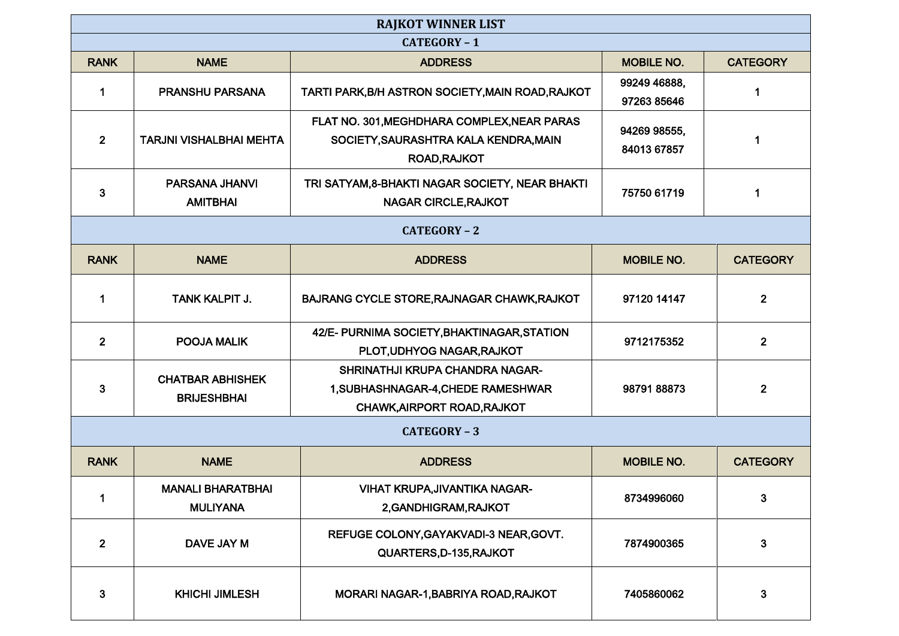| <b>RAJKOT WINNER LIST</b> |                                               |                                                   |                             |                 |
|---------------------------|-----------------------------------------------|---------------------------------------------------|-----------------------------|-----------------|
| CATEGORY-1                |                                               |                                                   |                             |                 |
| <b>RANK</b>               | <b>NAME</b>                                   | <b>ADDRESS</b>                                    | <b>MOBILE NO.</b>           | <b>CATEGORY</b> |
| 1                         | <b>PRANSHU PARSANA</b>                        | TARTI PARK, B/H ASTRON SOCIETY, MAIN ROAD, RAJKOT | 99249 46888,                |                 |
|                           |                                               |                                                   | 97263 85646                 |                 |
|                           | <b>TARJNI VISHALBHAI MEHTA</b>                | FLAT NO. 301, MEGHDHARA COMPLEX, NEAR PARAS       | 94269 98555,<br>84013 67857 |                 |
| $\overline{2}$            |                                               | SOCIETY, SAURASHTRA KALA KENDRA, MAIN             |                             |                 |
|                           |                                               | ROAD, RAJKOT                                      |                             |                 |
|                           | PARSANA JHANVI                                | TRI SATYAM, 8-BHAKTI NAGAR SOCIETY, NEAR BHAKTI   |                             |                 |
| 3                         | <b>AMITBHAI</b>                               | <b>NAGAR CIRCLE, RAJKOT</b>                       | 75750 61719                 | 1               |
|                           |                                               |                                                   |                             |                 |
|                           |                                               | CATEGORY-2                                        |                             |                 |
| <b>RANK</b>               | <b>NAME</b>                                   | <b>ADDRESS</b>                                    | <b>MOBILE NO.</b>           | <b>CATEGORY</b> |
|                           |                                               |                                                   |                             |                 |
| $\mathbf 1$               | <b>TANK KALPIT J.</b>                         | BAJRANG CYCLE STORE, RAJNAGAR CHAWK, RAJKOT       | 97120 14147                 | $\overline{2}$  |
|                           |                                               | 42/E- PURNIMA SOCIETY, BHAKTINAGAR, STATION       |                             |                 |
| $\mathbf{2}$              | POOJA MALIK                                   | PLOT, UDHYOG NAGAR, RAJKOT                        | 9712175352                  | $\mathbf{2}$    |
|                           |                                               | SHRINATHJI KRUPA CHANDRA NAGAR-                   |                             |                 |
| $\mathbf{3}$              | <b>CHATBAR ABHISHEK</b><br><b>BRIJESHBHAI</b> | 1, SUBHASHNAGAR-4, CHEDE RAMESHWAR                | 9879188873                  | $\overline{2}$  |
|                           |                                               | CHAWK, AIRPORT ROAD, RAJKOT                       |                             |                 |
|                           |                                               |                                                   |                             |                 |
|                           |                                               | <b>CATEGORY - 3</b>                               |                             |                 |
| <b>RANK</b>               | <b>NAME</b>                                   | <b>ADDRESS</b>                                    | <b>MOBILE NO.</b>           | <b>CATEGORY</b> |
|                           | <b>MANALI BHARATBHAI</b>                      | VIHAT KRUPA, JIVANTIKA NAGAR-                     |                             |                 |
| 1                         | <b>MULIYANA</b>                               | 2, GANDHIGRAM, RAJKOT                             | 8734996060                  | 3               |
|                           |                                               | REFUGE COLONY, GAYAKVADI-3 NEAR, GOVT.            |                             |                 |
| $\overline{2}$            | DAVE JAY M                                    | QUARTERS, D-135, RAJKOT                           | 7874900365                  | $\mathbf{3}$    |
|                           |                                               |                                                   |                             |                 |
| $\mathbf{3}$              |                                               | MORARI NAGAR-1, BABRIYA ROAD, RAJKOT              | 7405860062                  | 3               |
|                           | <b>KHICHI JIMLESH</b>                         |                                                   |                             |                 |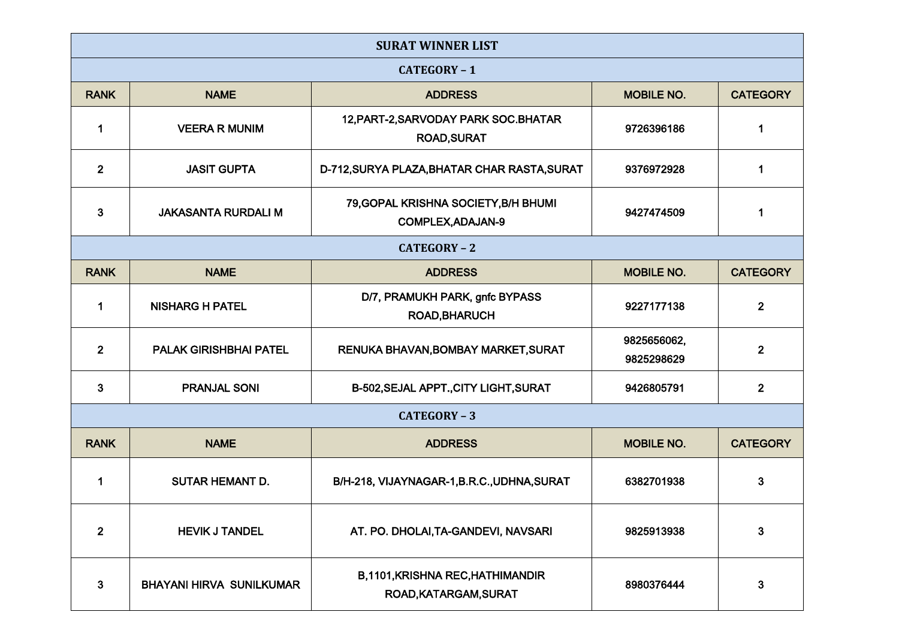| <b>SURAT WINNER LIST</b> |                                 |                                                                  |                           |                 |  |
|--------------------------|---------------------------------|------------------------------------------------------------------|---------------------------|-----------------|--|
| <b>CATEGORY - 1</b>      |                                 |                                                                  |                           |                 |  |
| <b>RANK</b>              | <b>NAME</b>                     | <b>ADDRESS</b>                                                   | <b>MOBILE NO.</b>         | <b>CATEGORY</b> |  |
| 1                        | <b>VEERA R MUNIM</b>            | 12, PART-2, SARVODAY PARK SOC. BHATAR<br><b>ROAD, SURAT</b>      | 9726396186                | 1               |  |
| 2 <sup>1</sup>           | <b>JASIT GUPTA</b>              | D-712, SURYA PLAZA, BHATAR CHAR RASTA, SURAT                     | 9376972928                | 1               |  |
| 3                        | <b>JAKASANTA RURDALI M</b>      | 79, GOPAL KRISHNA SOCIETY, B/H BHUMI<br>COMPLEX, ADAJAN-9        | 9427474509                | 1               |  |
|                          | <b>CATEGORY - 2</b>             |                                                                  |                           |                 |  |
| <b>RANK</b>              | <b>NAME</b>                     | <b>ADDRESS</b>                                                   | <b>MOBILE NO.</b>         | <b>CATEGORY</b> |  |
| 1                        | <b>NISHARG H PATEL</b>          | D/7, PRAMUKH PARK, gnfc BYPASS<br><b>ROAD, BHARUCH</b>           | 9227177138                | $\overline{2}$  |  |
| $\overline{2}$           | <b>PALAK GIRISHBHAI PATEL</b>   | RENUKA BHAVAN, BOMBAY MARKET, SURAT                              | 9825656062,<br>9825298629 | $\mathbf{2}$    |  |
| 3                        | <b>PRANJAL SONI</b>             | B-502, SEJAL APPT., CITY LIGHT, SURAT                            | 9426805791                | $\mathbf{2}$    |  |
| <b>CATEGORY - 3</b>      |                                 |                                                                  |                           |                 |  |
| <b>RANK</b>              | <b>NAME</b>                     | <b>ADDRESS</b>                                                   | <b>MOBILE NO.</b>         | <b>CATEGORY</b> |  |
| 1                        | <b>SUTAR HEMANT D.</b>          | B/H-218, VIJAYNAGAR-1, B.R.C., UDHNA, SURAT                      | 6382701938                | 3               |  |
| $\overline{2}$           | <b>HEVIK J TANDEL</b>           | AT. PO. DHOLAI, TA-GANDEVI, NAVSARI                              | 9825913938                | 3               |  |
| 3                        | <b>BHAYANI HIRVA SUNILKUMAR</b> | <b>B,1101, KRISHNA REC, HATHIMANDIR</b><br>ROAD, KATARGAM, SURAT | 8980376444                | 3               |  |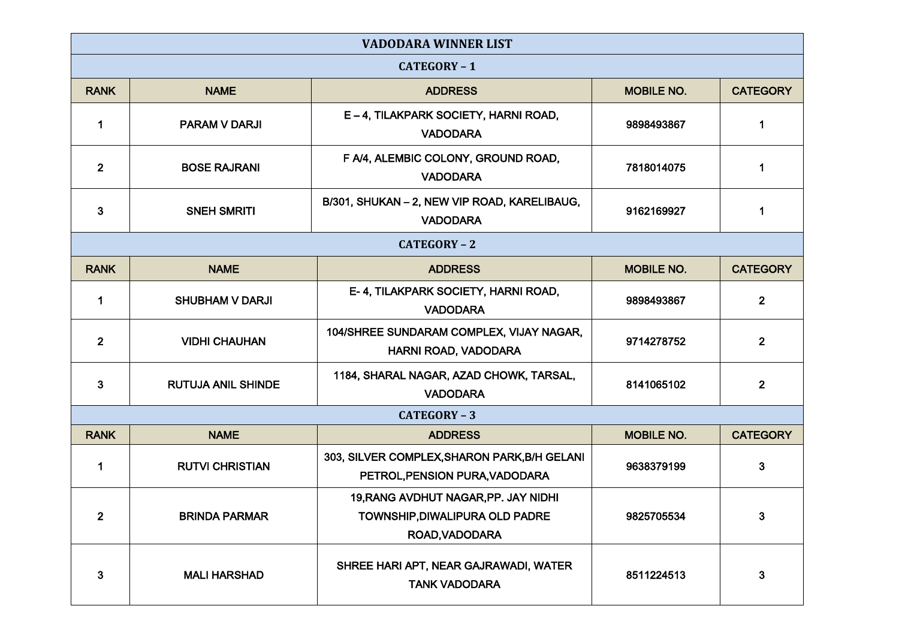| <b>VADODARA WINNER LIST</b> |                           |                                                                                          |                   |                 |
|-----------------------------|---------------------------|------------------------------------------------------------------------------------------|-------------------|-----------------|
| CATEGORY-1                  |                           |                                                                                          |                   |                 |
| <b>RANK</b>                 | <b>NAME</b>               | <b>ADDRESS</b>                                                                           | <b>MOBILE NO.</b> | <b>CATEGORY</b> |
| 1                           | <b>PARAM V DARJI</b>      | E-4, TILAKPARK SOCIETY, HARNI ROAD,<br><b>VADODARA</b>                                   | 9898493867        | 1               |
| 2 <sup>1</sup>              | <b>BOSE RAJRANI</b>       | F A/4, ALEMBIC COLONY, GROUND ROAD,<br><b>VADODARA</b>                                   | 7818014075        |                 |
| 3                           | <b>SNEH SMRITI</b>        | B/301, SHUKAN - 2, NEW VIP ROAD, KARELIBAUG,<br><b>VADODARA</b>                          | 9162169927        | 1               |
| CATEGORY-2                  |                           |                                                                                          |                   |                 |
| <b>RANK</b>                 | <b>NAME</b>               | <b>ADDRESS</b>                                                                           | <b>MOBILE NO.</b> | <b>CATEGORY</b> |
| $\mathbf 1$                 | <b>SHUBHAM V DARJI</b>    | E-4, TILAKPARK SOCIETY, HARNI ROAD,<br><b>VADODARA</b>                                   | 9898493867        | $\overline{2}$  |
| $\overline{\mathbf{2}}$     | <b>VIDHI CHAUHAN</b>      | 104/SHREE SUNDARAM COMPLEX, VIJAY NAGAR,<br>HARNI ROAD, VADODARA                         | 9714278752        | $\mathbf{2}$    |
| 3                           | <b>RUTUJA ANIL SHINDE</b> | 1184, SHARAL NAGAR, AZAD CHOWK, TARSAL,<br><b>VADODARA</b>                               | 8141065102        | $\overline{2}$  |
|                             |                           | CATEGORY - 3                                                                             |                   |                 |
| <b>RANK</b>                 | <b>NAME</b>               | <b>ADDRESS</b>                                                                           | <b>MOBILE NO.</b> | <b>CATEGORY</b> |
| 1                           | <b>RUTVI CHRISTIAN</b>    | 303, SILVER COMPLEX, SHARON PARK, B/H GELANI<br>PETROL, PENSION PURA, VADODARA           | 9638379199        | 3               |
| $\overline{2}$              | <b>BRINDA PARMAR</b>      | 19, RANG AVDHUT NAGAR, PP. JAY NIDHI<br>TOWNSHIP, DIWALIPURA OLD PADRE<br>ROAD, VADODARA | 9825705534        | 3               |
| 3                           | <b>MALI HARSHAD</b>       | SHREE HARI APT, NEAR GAJRAWADI, WATER<br><b>TANK VADODARA</b>                            | 8511224513        | 3               |